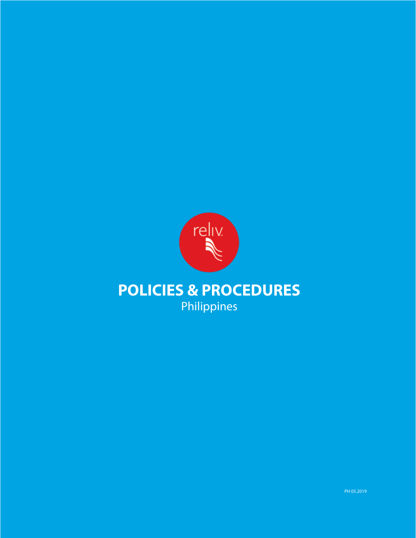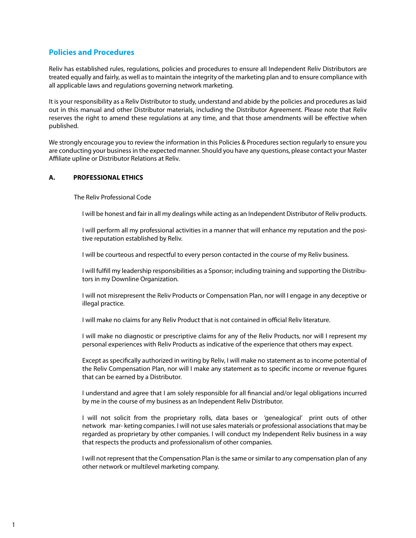# **Policies and Procedures**

Reliv has established rules, regulations, policies and procedures to ensure all Independent Reliv Distributors are treated equally and fairly, as well as to maintain the integrity of the marketing plan and to ensure compliance with all applicable laws and regulations governing network marketing.

It is your responsibility as a Reliv Distributor to study, understand and abide by the policies and procedures as laid out in this manual and other Distributor materials, including the Distributor Agreement. Please note that Reliv reserves the right to amend these regulations at any time, and that those amendments will be effective when published.

We strongly encourage you to review the information in this Policies & Procedures section regularly to ensure you are conducting your business in the expected manner. Should you have any questions, please contact your Master Affiliate upline or Distributor Relations at Reliv.

### **A. PROFESSIONAL ETHICS**

The Reliv Professional Code

I will be honest and fair in all my dealings while acting as an Independent Distributor of Reliv products.

I will perform all my professional activities in a manner that will enhance my reputation and the positive reputation established by Reliv.

I will be courteous and respectful to every person contacted in the course of my Reliv business.

I will fulfill my leadership responsibilities as a Sponsor; including training and supporting the Distributors in my Downline Organization.

I will not misrepresent the Reliv Products or Compensation Plan, nor will I engage in any deceptive or illegal practice.

I will make no claims for any Reliv Product that is not contained in official Reliv literature.

I will make no diagnostic or prescriptive claims for any of the Reliv Products, nor will I represent my personal experiences with Reliv Products as indicative of the experience that others may expect.

Except as specifically authorized in writing by Reliv, I will make no statement as to income potential of the Reliv Compensation Plan, nor will I make any statement as to specific income or revenue figures that can be earned by a Distributor.

I understand and agree that I am solely responsible for all financial and/or legal obligations incurred by me in the course of my business as an Independent Reliv Distributor.

I will not solicit from the proprietary rolls, data bases or 'genealogical' print outs of other network mar- keting companies. I will not use sales materials or professional associations that may be regarded as proprietary by other companies. I will conduct my Independent Reliv business in a way that respects the products and professionalism of other companies.

I will not represent that the Compensation Plan is the same or similar to any compensation plan of any other network or multilevel marketing company.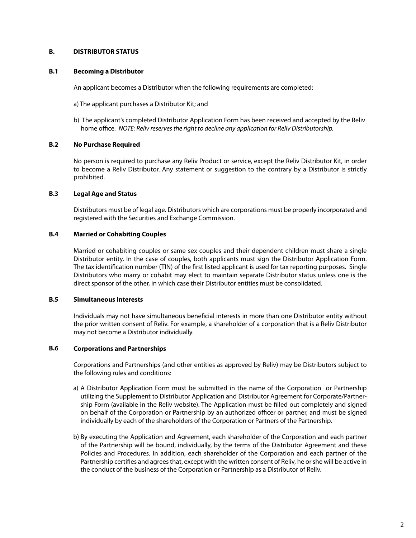## **B. DISTRIBUTOR STATUS**

### **B.1 Becoming a Distributor**

An applicant becomes a Distributor when the following requirements are completed:

a) The applicant purchases a Distributor Kit; and

b) The applicant's completed Distributor Application Form has been received and accepted by the Reliv home office. *NOTE: Reliv reserves the right to decline any application for Reliv Distributorship.*

### **B.2 No Purchase Required**

No person is required to purchase any Reliv Product or service, except the Reliv Distributor Kit, in order to become a Reliv Distributor. Any statement or suggestion to the contrary by a Distributor is strictly prohibited.

### **B.3 Legal Age and Status**

Distributors must be of legal age. Distributors which are corporations must be properly incorporated and registered with the Securities and Exchange Commission.

### **B.4 Married or Cohabiting Couples**

Married or cohabiting couples or same sex couples and their dependent children must share a single Distributor entity. In the case of couples, both applicants must sign the Distributor Application Form. The tax identification number (TIN) of the first listed applicant is used for tax reporting purposes. Single Distributors who marry or cohabit may elect to maintain separate Distributor status unless one is the direct sponsor of the other, in which case their Distributor entities must be consolidated.

#### **B.5 Simultaneous Interests**

Individuals may not have simultaneous beneficial interests in more than one Distributor entity without the prior written consent of Reliv. For example, a shareholder of a corporation that is a Reliv Distributor may not become a Distributor individually.

### **B.6 Corporations and Partnerships**

Corporations and Partnerships (and other entities as approved by Reliv) may be Distributors subject to the following rules and conditions:

- a) A Distributor Application Form must be submitted in the name of the Corporation or Partnership utilizing the Supplement to Distributor Application and Distributor Agreement for Corporate/Partnership Form (available in the Reliv website). The Application must be filled out completely and signed on behalf of the Corporation or Partnership by an authorized officer or partner, and must be signed individually by each of the shareholders of the Corporation or Partners of the Partnership.
- b) By executing the Application and Agreement, each shareholder of the Corporation and each partner of the Partnership will be bound, individually, by the terms of the Distributor Agreement and these Policies and Procedures. In addition, each shareholder of the Corporation and each partner of the Partnership certifies and agrees that, except with the written consent of Reliv, he or she will be active in the conduct of the business of the Corporation or Partnership as a Distributor of Reliv.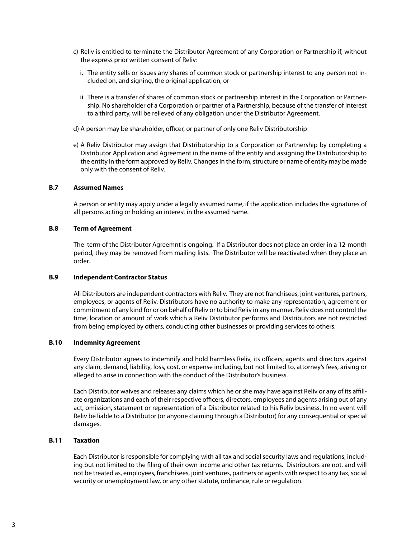- c) Reliv is entitled to terminate the Distributor Agreement of any Corporation or Partnership if, without the express prior written consent of Reliv:
	- i. The entity sells or issues any shares of common stock or partnership interest to any person not included on, and signing, the original application, or
	- ii. There is a transfer of shares of common stock or partnership interest in the Corporation or Partnership. No shareholder of a Corporation or partner of a Partnership, because of the transfer of interest to a third party, will be relieved of any obligation under the Distributor Agreement.
- d) A person may be shareholder, officer, or partner of only one Reliv Distributorship
- e) A Reliv Distributor may assign that Distributorship to a Corporation or Partnership by completing a Distributor Application and Agreement in the name of the entity and assigning the Distributorship to the entity in the form approved by Reliv. Changes in the form, structure or name of entity may be made only with the consent of Reliv.

### **B.7 Assumed Names**

A person or entity may apply under a legally assumed name, if the application includes the signatures of all persons acting or holding an interest in the assumed name.

### **B.8 Term of Agreement**

The term of the Distributor Agreemnt is ongoing. If a Distributor does not place an order in a 12-month period, they may be removed from mailing lists. The Distributor will be reactivated when they place an order.

#### **B.9 Independent Contractor Status**

All Distributors are independent contractors with Reliv. They are not franchisees, joint ventures, partners, employees, or agents of Reliv. Distributors have no authority to make any representation, agreement or commitment of any kind for or on behalf of Reliv or to bind Reliv in any manner. Reliv does not control the time, location or amount of work which a Reliv Distributor performs and Distributors are not restricted from being employed by others, conducting other businesses or providing services to others.

#### **B.10 Indemnity Agreement**

Every Distributor agrees to indemnify and hold harmless Reliv, its officers, agents and directors against any claim, demand, liability, loss, cost, or expense including, but not limited to, attorney's fees, arising or alleged to arise in connection with the conduct of the Distributor's business.

Each Distributor waives and releases any claims which he or she may have against Reliv or any of its affiliate organizations and each of their respective officers, directors, employees and agents arising out of any act, omission, statement or representation of a Distributor related to his Reliv business. In no event will Reliv be liable to a Distributor (or anyone claiming through a Distributor) for any consequential or special damages.

### **B.11 Taxation**

Each Distributor is responsible for complying with all tax and social security laws and regulations, including but not limited to the filing of their own income and other tax returns. Distributors are not, and will not be treated as, employees, franchisees, joint ventures, partners or agents with respect to any tax, social security or unemployment law, or any other statute, ordinance, rule or regulation.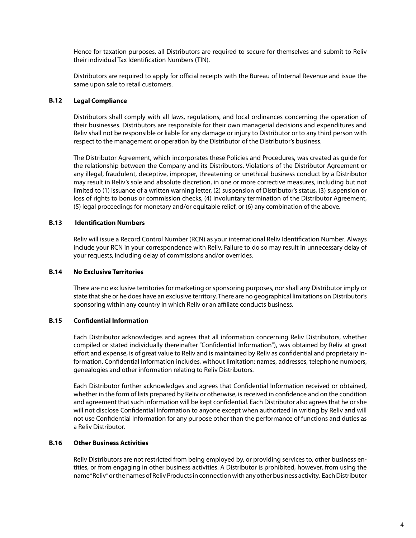Hence for taxation purposes, all Distributors are required to secure for themselves and submit to Reliv their individual Tax Identification Numbers (TIN).

Distributors are required to apply for official receipts with the Bureau of Internal Revenue and issue the same upon sale to retail customers.

### **B.12 Legal Compliance**

Distributors shall comply with all laws, regulations, and local ordinances concerning the operation of their businesses. Distributors are responsible for their own managerial decisions and expenditures and Reliv shall not be responsible or liable for any damage or injury to Distributor or to any third person with respect to the management or operation by the Distributor of the Distributor's business.

The Distributor Agreement, which incorporates these Policies and Procedures, was created as guide for the relationship between the Company and its Distributors. Violations of the Distributor Agreement or any illegal, fraudulent, deceptive, improper, threatening or unethical business conduct by a Distributor may result in Reliv's sole and absolute discretion, in one or more corrective measures, including but not limited to (1) issuance of a written warning letter, (2) suspension of Distributor's status, (3) suspension or loss of rights to bonus or commission checks, (4) involuntary termination of the Distributor Agreement, (5) legal proceedings for monetary and/or equitable relief, or (6) any combination of the above.

### **B.13 Identification Numbers**

Reliv will issue a Record Control Number (RCN) as your international Reliv Identification Number. Always include your RCN in your correspondence with Reliv. Failure to do so may result in unnecessary delay of your requests, including delay of commissions and/or overrides.

### **B.14 No Exclusive Territories**

There are no exclusive territories for marketing or sponsoring purposes, nor shall any Distributor imply or state that she or he does have an exclusive territory. There are no geographical limitations on Distributor's sponsoring within any country in which Reliv or an affiliate conducts business.

#### **B.15 Confidential Information**

Each Distributor acknowledges and agrees that all information concerning Reliv Distributors, whether compiled or stated individually (hereinafter "Confidential Information"), was obtained by Reliv at great effort and expense, is of great value to Reliv and is maintained by Reliv as confidential and proprietary information. Confidential Information includes, without limitation: names, addresses, telephone numbers, genealogies and other information relating to Reliv Distributors.

Each Distributor further acknowledges and agrees that Confidential Information received or obtained, whether in the form of lists prepared by Reliv or otherwise, is received in confidence and on the condition and agreement that such information will be kept confidential. Each Distributor also agrees that he or she will not disclose Confidential Information to anyone except when authorized in writing by Reliv and will not use Confidential Information for any purpose other than the performance of functions and duties as a Reliv Distributor.

#### **B.16 Other Business Activities**

Reliv Distributors are not restricted from being employed by, or providing services to, other business entities, or from engaging in other business activities. A Distributor is prohibited, however, from using the name "Reliv" or the names of Reliv Products in connection with any other business activity. Each Distributor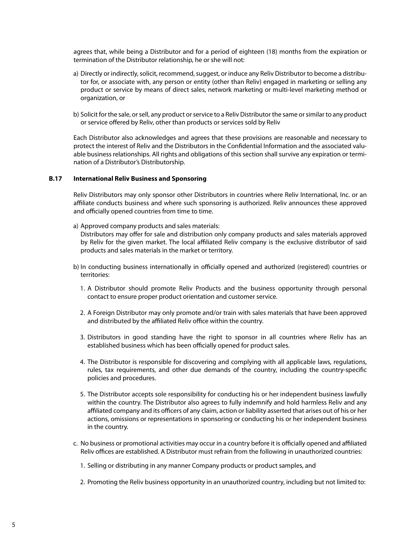agrees that, while being a Distributor and for a period of eighteen (18) months from the expiration or termination of the Distributor relationship, he or she will not:

- a) Directly or indirectly, solicit, recommend, suggest, or induce any Reliv Distributor to become a distributor for, or associate with, any person or entity (other than Reliv) engaged in marketing or selling any product or service by means of direct sales, network marketing or multi-level marketing method or organization, or
- b) Solicit for the sale, or sell, any product or service to a Reliv Distributor the same or similar to any product or service offered by Reliv, other than products or services sold by Reliv

Each Distributor also acknowledges and agrees that these provisions are reasonable and necessary to protect the interest of Reliv and the Distributors in the Confidential Information and the associated valuable business relationships. All rights and obligations of this section shall survive any expiration or termination of a Distributor's Distributorship.

### **B.17 International Reliv Business and Sponsoring**

Reliv Distributors may only sponsor other Distributors in countries where Reliv International, Inc. or an affiliate conducts business and where such sponsoring is authorized. Reliv announces these approved and officially opened countries from time to time.

a) Approved company products and sales materials:

Distributors may offer for sale and distribution only company products and sales materials approved by Reliv for the given market. The local affiliated Reliv company is the exclusive distributor of said products and sales materials in the market or territory.

- b) In conducting business internationally in officially opened and authorized (registered) countries or territories:
	- 1. A Distributor should promote Reliv Products and the business opportunity through personal contact to ensure proper product orientation and customer service.
	- 2. A Foreign Distributor may only promote and/or train with sales materials that have been approved and distributed by the affiliated Reliv office within the country.
	- 3. Distributors in good standing have the right to sponsor in all countries where Reliv has an established business which has been officially opened for product sales.
	- 4. The Distributor is responsible for discovering and complying with all applicable laws, regulations, rules, tax requirements, and other due demands of the country, including the country-specific policies and procedures.
	- 5. The Distributor accepts sole responsibility for conducting his or her independent business lawfully within the country. The Distributor also agrees to fully indemnify and hold harmless Reliv and any affiliated company and its officers of any claim, action or liability asserted that arises out of his or her actions, omissions or representations in sponsoring or conducting his or her independent business in the country.
- c. No business or promotional activities may occur in a country before it is officially opened and affiliated Reliv offices are established. A Distributor must refrain from the following in unauthorized countries:
	- 1. Selling or distributing in any manner Company products or product samples, and
	- 2. Promoting the Reliv business opportunity in an unauthorized country, including but not limited to: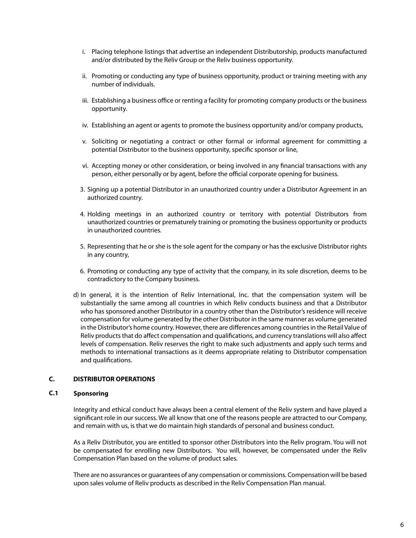- i. Placing telephone listings that advertise an independent Distributorship, products manufactured and/or distributed by the Reliv Group or the Reliv business opportunity.
- ii. Promoting or conducting any type of business opportunity, product or training meeting with any number of individuals.
- iii. Establishing a business office or renting a facility for promoting company products or the business opportunity.
- iv. Establishing an agent or agents to promote the business opportunity and/or company products,
- v. Soliciting or negotiating a contract or other formal or informal agreement for committing a potential Distributor to the business opportunity, specific sponsor or line,
- vi. Accepting money or other consideration, or being involved in any financial transactions with any person, either personally or by agent, before the official corporate opening for business.
- Signing up a potential Distributor in an unauthorized country under a Distributor Agreement in an 3. authorized country.
- 4. Holding meetings in an authorized country or territory with potential Distributors from unauthorized countries or prematurely training or promoting the business opportunity or products in unauthorized countries.
- 5. Representing that he or she is the sole agent for the company or has the exclusive Distributor rights in any country,
- 6. Promoting or conducting any type of activity that the company, in its sole discretion, deems to be contradictory to the Company business.
- d) In general, it is the intention of Reliv International, Inc. that the compensation system will be substantially the same among all countries in which Reliv conducts business and that a Distributor who has sponsored another Distributor in a country other than the Distributor's residence will receive compensation for volume generated by the other Distributor in the same manner as volume generated in the Distributor's home country. However, there are differences among countries in the Retail Value of Reliv products that do affect compensation and qualifications, and currency translations will also affect levels of compensation. Reliv reserves the right to make such adjustments and apply such terms and methods to international transactions as it deems appropriate relating to Distributor compensation and qualifications.

## **C. DISTRIBUTOR OPERATIONS**

## **C.1 Sponsoring**

Integrity and ethical conduct have always been a central element of the Reliv system and have played a significant role in our success. We all know that one of the reasons people are attracted to our Company, and remain with us, is that we do maintain high standards of personal and business conduct.

As a Reliv Distributor, you are entitled to sponsor other Distributors into the Reliv program. You will not be compensated for enrolling new Distributors. You will, however, be compensated under the Reliv Compensation Plan based on the volume of product sales.

There are no assurances or guarantees of any compensation or commissions. Compensation will be based upon sales volume of Reliv products as described in the Reliv Compensation Plan manual.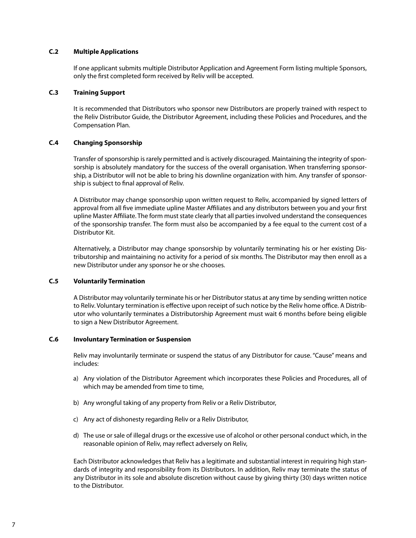### **C.2 Multiple Applications**

If one applicant submits multiple Distributor Application and Agreement Form listing multiple Sponsors, only the first completed form received by Reliv will be accepted.

#### **C.3 Training Support**

It is recommended that Distributors who sponsor new Distributors are properly trained with respect to the Reliv Distributor Guide, the Distributor Agreement, including these Policies and Procedures, and the Compensation Plan.

### **C.4 Changing Sponsorship**

Transfer of sponsorship is rarely permitted and is actively discouraged. Maintaining the integrity of sponsorship is absolutely mandatory for the success of the overall organisation. When transferring sponsorship, a Distributor will not be able to bring his downline organization with him. Any transfer of sponsorship is subject to final approval of Reliv.

A Distributor may change sponsorship upon written request to Reliv, accompanied by signed letters of approval from all five immediate upline Master Affiliates and any distributors between you and your first upline Master Affiliate. The form must state clearly that all parties involved understand the consequences of the sponsorship transfer. The form must also be accompanied by a fee equal to the current cost of a Distributor Kit.

Alternatively, a Distributor may change sponsorship by voluntarily terminating his or her existing Distributorship and maintaining no activity for a period of six months. The Distributor may then enroll as a new Distributor under any sponsor he or she chooses.

#### **C.5 Voluntarily Termination**

A Distributor may voluntarily terminate his or her Distributor status at any time by sending written notice to Reliv. Voluntary termination is effective upon receipt of such notice by the Reliv home office. A Distributor who voluntarily terminates a Distributorship Agreement must wait 6 months before being eligible to sign a New Distributor Agreement.

### **C.6 Involuntary Termination or Suspension**

Reliv may involuntarily terminate or suspend the status of any Distributor for cause. "Cause" means and includes:

- a) Any violation of the Distributor Agreement which incorporates these Policies and Procedures, all of which may be amended from time to time,
- b) Any wrongful taking of any property from Reliv or a Reliv Distributor,
- c) Any act of dishonesty regarding Reliv or a Reliv Distributor,
- d) The use or sale of illegal drugs or the excessive use of alcohol or other personal conduct which, in the reasonable opinion of Reliv, may reflect adversely on Reliv,

Each Distributor acknowledges that Reliv has a legitimate and substantial interest in requiring high standards of integrity and responsibility from its Distributors. In addition, Reliv may terminate the status of any Distributor in its sole and absolute discretion without cause by giving thirty (30) days written notice to the Distributor.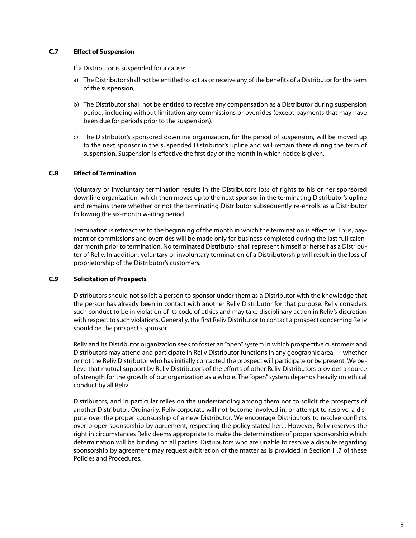### **C.7 Effect of Suspension**

If a Distributor is suspended for a cause:

- a) The Distributor shall not be entitled to act as or receive any of the benefits of a Distributor for the term of the suspension,
- b) The Distributor shall not be entitled to receive any compensation as a Distributor during suspension period, including without limitation any commissions or overrides (except payments that may have been due for periods prior to the suspension).
- c) The Distributor's sponsored downline organization, for the period of suspension, will be moved up to the next sponsor in the suspended Distributor's upline and will remain there during the term of suspension. Suspension is effective the first day of the month in which notice is given.

### **C.8 Effect of Termination**

Voluntary or involuntary termination results in the Distributor's loss of rights to his or her sponsored downline organization, which then moves up to the next sponsor in the terminating Distributor's upline and remains there whether or not the terminating Distributor subsequently re-enrolls as a Distributor following the six-month waiting period.

Termination is retroactive to the beginning of the month in which the termination is effective. Thus, payment of commissions and overrides will be made only for business completed during the last full calendar month prior to termination. No terminated Distributor shall represent himself or herself as a Distributor of Reliv. In addition, voluntary or involuntary termination of a Distributorship will result in the loss of proprietorship of the Distributor's customers.

### **C.9 Solicitation of Prospects**

Distributors should not solicit a person to sponsor under them as a Distributor with the knowledge that the person has already been in contact with another Reliv Distributor for that purpose. Reliv considers such conduct to be in violation of its code of ethics and may take disciplinary action in Reliv's discretion with respect to such violations. Generally, the first Reliv Distributor to contact a prospect concerning Reliv should be the prospect's sponsor.

Reliv and its Distributor organization seek to foster an "open" system in which prospective customers and Distributors may attend and participate in Reliv Distributor functions in any geographic area — whether or not the Reliv Distributor who has initially contacted the prospect will participate or be present. We believe that mutual support by Reliv Distributors of the efforts of other Reliv Distributors provides a source of strength for the growth of our organization as a whole. The "open" system depends heavily on ethical conduct by all Reliv

Distributors, and in particular relies on the understanding among them not to solicit the prospects of another Distributor. Ordinarily, Reliv corporate will not become involved in, or attempt to resolve, a dispute over the proper sponsorship of a new Distributor. We encourage Distributors to resolve conflicts over proper sponsorship by agreement, respecting the policy stated here. However, Reliv reserves the right in circumstances Reliv deems appropriate to make the determination of proper sponsorship which determination will be binding on all parties. Distributors who are unable to resolve a dispute regarding sponsorship by agreement may request arbitration of the matter as is provided in Section H.7 of these Policies and Procedures.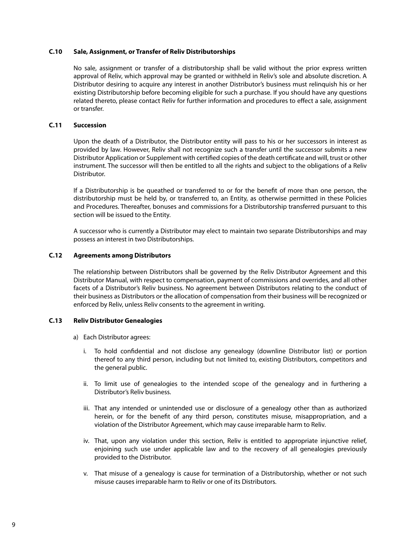### **C.10 Sale, Assignment, or Transfer of Reliv Distributorships**

No sale, assignment or transfer of a distributorship shall be valid without the prior express written approval of Reliv, which approval may be granted or withheld in Reliv's sole and absolute discretion. A Distributor desiring to acquire any interest in another Distributor's business must relinquish his or her existing Distributorship before becoming eligible for such a purchase. If you should have any questions related thereto, please contact Reliv for further information and procedures to effect a sale, assignment or transfer.

### **C.11 Succession**

Upon the death of a Distributor, the Distributor entity will pass to his or her successors in interest as provided by law. However, Reliv shall not recognize such a transfer until the successor submits a new Distributor Application or Supplement with certified copies of the death certificate and will, trust or other instrument. The successor will then be entitled to all the rights and subject to the obligations of a Reliv Distributor.

If a Distributorship is be queathed or transferred to or for the benefit of more than one person, the distributorship must be held by, or transferred to, an Entity, as otherwise permitted in these Policies and Procedures. Thereafter, bonuses and commissions for a Distributorship transferred pursuant to this section will be issued to the Entity.

A successor who is currently a Distributor may elect to maintain two separate Distributorships and may possess an interest in two Distributorships.

### **C.12 Agreements among Distributors**

The relationship between Distributors shall be governed by the Reliv Distributor Agreement and this Distributor Manual, with respect to compensation, payment of commissions and overrides, and all other facets of a Distributor's Reliv business. No agreement between Distributors relating to the conduct of their business as Distributors or the allocation of compensation from their business will be recognized or enforced by Reliv, unless Reliv consents to the agreement in writing.

### **C.13 Reliv Distributor Genealogies**

- a) Each Distributor agrees:
	- i. To hold confidential and not disclose any genealogy (downline Distributor list) or portion thereof to any third person, including but not limited to, existing Distributors, competitors and the general public.
	- ii. To limit use of genealogies to the intended scope of the genealogy and in furthering a Distributor's Reliv business.
	- iii. That any intended or unintended use or disclosure of a genealogy other than as authorized herein, or for the benefit of any third person, constitutes misuse, misappropriation, and a violation of the Distributor Agreement, which may cause irreparable harm to Reliv.
	- iv. That, upon any violation under this section, Reliv is entitled to appropriate injunctive relief, enjoining such use under applicable law and to the recovery of all genealogies previously provided to the Distributor.
	- v. That misuse of a genealogy is cause for termination of a Distributorship, whether or not such misuse causes irreparable harm to Reliv or one of its Distributors.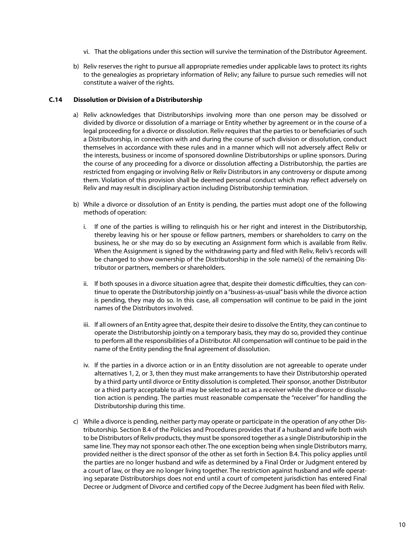- vi. That the obligations under this section will survive the termination of the Distributor Agreement.
- b) Reliv reserves the right to pursue all appropriate remedies under applicable laws to protect its rights to the genealogies as proprietary information of Reliv; any failure to pursue such remedies will not constitute a waiver of the rights.

### **C.14 Dissolution or Division of a Distributorship**

- a) Reliv acknowledges that Distributorships involving more than one person may be dissolved or divided by divorce or dissolution of a marriage or Entity whether by agreement or in the course of a legal proceeding for a divorce or dissolution. Reliv requires that the parties to or beneficiaries of such a Distributorship, in connection with and during the course of such division or dissolution, conduct themselves in accordance with these rules and in a manner which will not adversely affect Reliv or the interests, business or income of sponsored downline Distributorships or upline sponsors. During the course of any proceeding for a divorce or dissolution affecting a Distributorship, the parties are restricted from engaging or involving Reliv or Reliv Distributors in any controversy or dispute among them. Violation of this provision shall be deemed personal conduct which may reflect adversely on Reliv and may result in disciplinary action including Distributorship termination.
- While a divorce or dissolution of an Entity is pending, the parties must adopt one of the following b) methods of operation:
	- i. If one of the parties is willing to relinquish his or her right and interest in the Distributorship, thereby leaving his or her spouse or fellow partners, members or shareholders to carry on the business, he or she may do so by executing an Assignment form which is available from Reliv. When the Assignment is signed by the withdrawing party and filed with Reliv, Reliv's records will be changed to show ownership of the Distributorship in the sole name(s) of the remaining Distributor or partners, members or shareholders.
	- ii. If both spouses in a divorce situation agree that, despite their domestic difficulties, they can continue to operate the Distributorship jointly on a "business-as-usual" basis while the divorce action is pending, they may do so. In this case, all compensation will continue to be paid in the joint names of the Distributors involved.
	- iii. If all owners of an Entity agree that, despite their desire to dissolve the Entity, they can continue to operate the Distributorship jointly on a temporary basis, they may do so, provided they continue to perform all the responsibilities of a Distributor. All compensation will continue to be paid in the name of the Entity pending the final agreement of dissolution.
	- iv. If the parties in a divorce action or in an Entity dissolution are not agreeable to operate under alternatives 1, 2, or 3, then they must make arrangements to have their Distributorship operated by a third party until divorce or Entity dissolution is completed. Their sponsor, another Distributor or a third party acceptable to all may be selected to act as a receiver while the divorce or dissolution action is pending. The parties must reasonable compensate the "receiver" for handling the Distributorship during this time.
- While a divorce is pending, neither party may operate or participate in the operation of any other Dis-c) tributorship. Section B.4 of the Policies and Procedures provides that if a husband and wife both wish to be Distributors of Reliv products, they must be sponsored together as a single Distributorship in the same line. They may not sponsor each other. The one exception being when single Distributors marry, provided neither is the direct sponsor of the other as set forth in Section B.4. This policy applies until the parties are no longer husband and wife as determined by a Final Order or Judgment entered by a court of law, or they are no longer living together. The restriction against husband and wife operating separate Distributorships does not end until a court of competent jurisdiction has entered Final Decree or Judgment of Divorce and certified copy of the Decree Judgment has been filed with Reliv.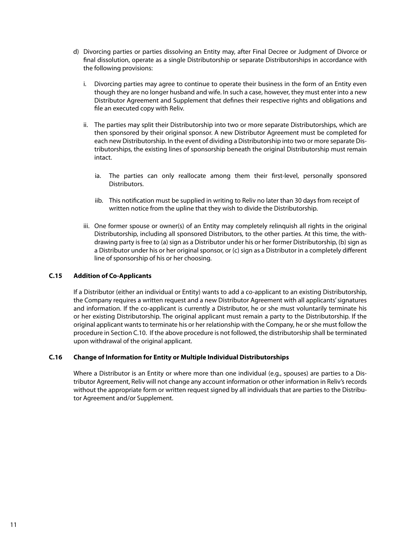- d) Divorcing parties or parties dissolving an Entity may, after Final Decree or Judgment of Divorce or final dissolution, operate as a single Distributorship or separate Distributorships in accordance with the following provisions:
	- i. Divorcing parties may agree to continue to operate their business in the form of an Entity even though they are no longer husband and wife. In such a case, however, they must enter into a new Distributor Agreement and Supplement that defines their respective rights and obligations and file an executed copy with Reliv.
	- ii. The parties may split their Distributorship into two or more separate Distributorships, which are then sponsored by their original sponsor. A new Distributor Agreement must be completed for each new Distributorship. In the event of dividing a Distributorship into two or more separate Distributorships, the existing lines of sponsorship beneath the original Distributorship must remain intact.
		- ia. The parties can only reallocate among them their first-level, personally sponsored Distributors.
		- iib. This notification must be supplied in writing to Reliv no later than 30 days from receipt of written notice from the upline that they wish to divide the Distributorship.
	- iii. One former spouse or owner(s) of an Entity may completely relinquish all rights in the original Distributorship, including all sponsored Distributors, to the other parties. At this time, the withdrawing party is free to (a) sign as a Distributor under his or her former Distributorship, (b) sign as a Distributor under his or her original sponsor, or (c) sign as a Distributor in a completely different line of sponsorship of his or her choosing.

### **C.15 Addition of Co-Applicants**

If a Distributor (either an individual or Entity) wants to add a co-applicant to an existing Distributorship, the Company requires a written request and a new Distributor Agreement with all applicants' signatures and information. If the co-applicant is currently a Distributor, he or she must voluntarily terminate his or her existing Distributorship. The original applicant must remain a party to the Distributorship. If the original applicant wants to terminate his or her relationship with the Company, he or she must follow the procedure in Section C.10. If the above procedure is not followed, the distributorship shall be terminated upon withdrawal of the original applicant.

### **C.16 Change of Information for Entity or Multiple Individual Distributorships**

Where a Distributor is an Entity or where more than one individual (e.g., spouses) are parties to a Distributor Agreement, Reliv will not change any account information or other information in Reliv's records without the appropriate form or written request signed by all individuals that are parties to the Distributor Agreement and/or Supplement.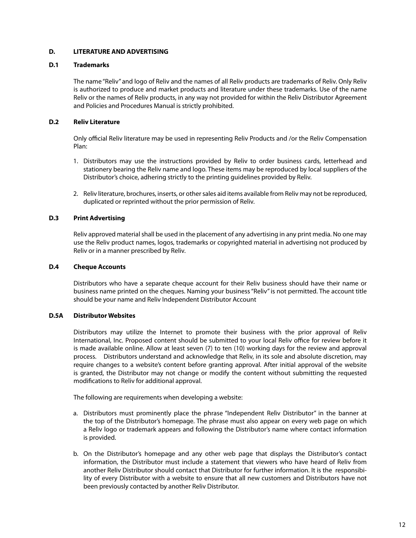## **D. LITERATURE AND ADVERTISING**

### **D.1 Trademarks**

The name "Reliv" and logo of Reliv and the names of all Reliv products are trademarks of Reliv. Only Reliv is authorized to produce and market products and literature under these trademarks. Use of the name Reliv or the names of Reliv products, in any way not provided for within the Reliv Distributor Agreement and Policies and Procedures Manual is strictly prohibited.

### **D.2 Reliv Literature**

Only official Reliv literature may be used in representing Reliv Products and /or the Reliv Compensation Plan:

- 1. Distributors may use the instructions provided by Reliv to order business cards, letterhead and stationery bearing the Reliv name and logo. These items may be reproduced by local suppliers of the Distributor's choice, adhering strictly to the printing guidelines provided by Reliv.
- 2. Reliv literature, brochures, inserts, or other sales aid items available from Reliv may not be reproduced, duplicated or reprinted without the prior permission of Reliv.

### **D.3 Print Advertising**

Reliv approved material shall be used in the placement of any advertising in any print media. No one may use the Reliv product names, logos, trademarks or copyrighted material in advertising not produced by Reliv or in a manner prescribed by Reliv.

### **D.4 Cheque Accounts**

Distributors who have a separate cheque account for their Reliv business should have their name or business name printed on the cheques. Naming your business "Reliv" is not permitted. The account title should be your name and Reliv Independent Distributor Account

### **D.5A Distributor Websites**

Distributors may utilize the Internet to promote their business with the prior approval of Reliv International, Inc. Proposed content should be submitted to your local Reliv office for review before it is made available online. Allow at least seven (7) to ten (10) working days for the review and approval process. Distributors understand and acknowledge that Relìv, in its sole and absolute discretion, may require changes to a website's content before granting approval. After initial approval of the website is granted, the Distributor may not change or modify the content without submitting the requested modifications to Reliv for additional approval.

The following are requirements when developing a website:

- a. Distributors must prominently place the phrase "Independent Relìv Distributor" in the banner at the top of the Distributor's homepage. The phrase must also appear on every web page on which a Relìv logo or trademark appears and following the Distributor's name where contact information is provided.
- b. On the Distributor's homepage and any other web page that displays the Distributor's contact information, the Distributor must include a statement that viewers who have heard of Reliv from another Reliv Distributor should contact that Distributor for further information. It is the responsibility of every Distributor with a website to ensure that all new customers and Distributors have not been previously contacted by another Reliv Distributor.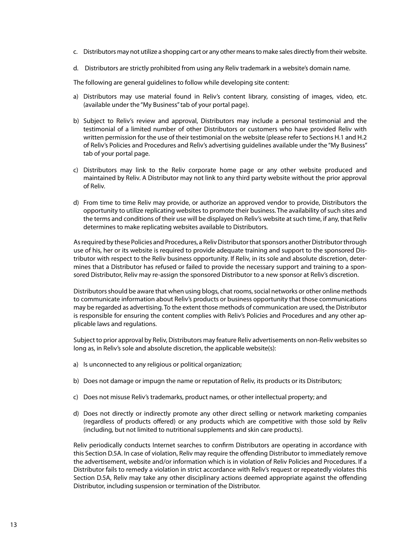- c. Distributors may not utilize a shopping cart or any other means to make sales directly from their website.
- d. Distributors are strictly prohibited from using any Reliv trademark in a website's domain name.

The following are general guidelines to follow while developing site content:

- a) Distributors may use material found in Reliv's content library, consisting of images, video, etc. (available under the "My Business" tab of your portal page).
- b) Subject to Reliv's review and approval, Distributors may include a personal testimonial and the testimonial of a limited number of other Distributors or customers who have provided Reliv with written permission for the use of their testimonial on the website (please refer to Sections H.1 and H.2 of Relìv's Policies and Procedures and Relìv's advertising guidelines available under the "My Business" tab of your portal page.
- c) Distributors may link to the Reliv corporate home page or any other website produced and maintained by Reliv. A Distributor may not link to any third party website without the prior approval of Reliv.
- d) From time to time Reliv may provide, or authorize an approved vendor to provide, Distributors the opportunity to utilize replicating websites to promote their business. The availability of such sites and the terms and conditions of their use will be displayed on Relìv's website at such time, if any, that Reliv determines to make replicating websites available to Distributors.

As required by these Policies and Procedures, a Reliv Distributor that sponsors another Distributor through use of his, her or its website is required to provide adequate training and support to the sponsored Distributor with respect to the Reliv business opportunity. If Reliv, in its sole and absolute discretion, determines that a Distributor has refused or failed to provide the necessary support and training to a sponsored Distributor, Reliv may re-assign the sponsored Distributor to a new sponsor at Relìv's discretion.

Distributors should be aware that when using blogs, chat rooms, social networks or other online methods to communicate information about Relìv's products or business opportunity that those communications may be regarded as advertising. To the extent those methods of communication are used, the Distributor is responsible for ensuring the content complies with Reliv's Policies and Procedures and any other applicable laws and regulations.

Subject to prior approval by Reliv, Distributors may feature Reliv advertisements on non-Reliv websites so long as, in Relìv's sole and absolute discretion, the applicable website(s):

- a) Is unconnected to any religious or political organization;
- b) Does not damage or impugn the name or reputation of Reliv, its products or its Distributors;
- c) Does not misuse Reliv's trademarks, product names, or other intellectual property; and
- d) Does not directly or indirectly promote any other direct selling or network marketing companies (regardless of products offered) or any products which are competitive with those sold by Reliv (including, but not limited to nutritional supplements and skin care products).

Reliv periodically conducts Internet searches to confirm Distributors are operating in accordance with this Section D.5A. In case of violation, Reliv may require the offending Distributor to immediately remove the advertisement, website and/or information which is in violation of Reliv Policies and Procedures. If a Distributor fails to remedy a violation in strict accordance with Relìv's request or repeatedly violates this Section D.5A, Reliv may take any other disciplinary actions deemed appropriate against the offending Distributor, including suspension or termination of the Distributor.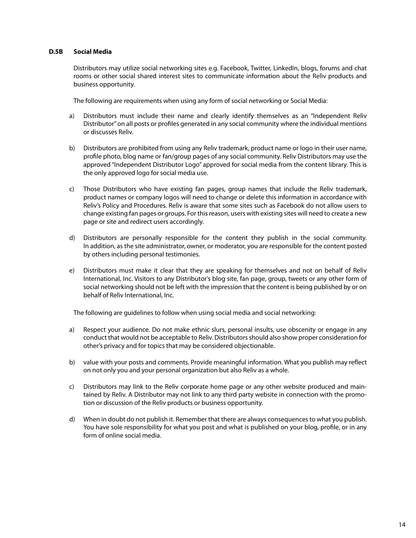### **D.5B Social Media**

Distributors may utilize social networking sites e.g. Facebook, Twitter, LinkedIn, blogs, forums and chat rooms or other social shared interest sites to communicate information about the Relìv products and business opportunity.

The following are requirements when using any form of social networking or Social Media:

- Distributors must include their name and clearly identify themselves as an "Independent Relìv Distributor" on all posts or profiles generated in any social community where the individual mentions or discusses Relìv. a)
- Distributors are prohibited from using any Relìv trademark, product name or logo in their user name, profile photo, blog name or fan/group pages of any social community. Relìv Distributors may use the approved "Independent Distributor Logo" approved for social media from the content library. This is the only approved logo for social media use. b)
- Those Distributors who have existing fan pages, group names that include the Relìv trademark, product names or company logos will need to change or delete this information in accordance with Relìv's Policy and Procedures. Relìv is aware that some sites such as Facebook do not allow users to change existing fan pages or groups. For this reason, users with existing sites will need to create a new page or site and redirect users accordingly. c)
- Distributors are personally responsible for the content they publish in the social community. In addition, as the site administrator, owner, or moderator, you are responsible for the content posted by others including personal testimonies. d)
- Distributors must make it clear that they are speaking for themselves and not on behalf of Relìv International, Inc. Visitors to any Distributor's blog site, fan page, group, tweets or any other form of social networking should not be left with the impression that the content is being published by or on behalf of Relìv International, Inc. e)

The following are guidelines to follow when using social media and social networking:

- Respect your audience. Do not make ethnic slurs, personal insults, use obscenity or engage in any conduct that would not be acceptable to Relìv. Distributors should also show proper consideration for other's privacy and for topics that may be considered objectionable. a)
- b) value with your posts and comments. Provide meaningful information. What you publish may reflect on not only you and your personal organization but also Relìv as a whole.
- Distributors may link to the Relìv corporate home page or any other website produced and maintained by Relìv. A Distributor may not link to any third party website in connection with the promotion or discussion of the Relìv products or business opportunity. c)
- When in doubt do not publish it. Remember that there are always consequences to what you publish. d) You have sole responsibility for what you post and what is published on your blog, profile, or in any form of online social media.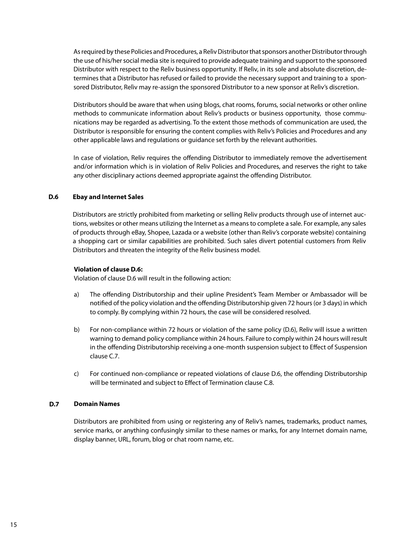As required by these Policies and Procedures, a Relìv Distributor that sponsors another Distributor through the use of his/her social media site is required to provide adequate training and support to the sponsored Distributor with respect to the Relìv business opportunity. If Relìv, in its sole and absolute discretion, determines that a Distributor has refused or failed to provide the necessary support and training to a sponsored Distributor, Relìv may re-assign the sponsored Distributor to a new sponsor at Relìv's discretion.

Distributors should be aware that when using blogs, chat rooms, forums, social networks or other online methods to communicate information about Relìv's products or business opportunity, those communications may be regarded as advertising. To the extent those methods of communication are used, the Distributor is responsible for ensuring the content complies with Relìv's Policies and Procedures and any other applicable laws and regulations or guidance set forth by the relevant authorities.

In case of violation, Reliv requires the offending Distributor to immediately remove the advertisement and/or information which is in violation of Reliv Policies and Procedures, and reserves the right to take any other disciplinary actions deemed appropriate against the offending Distributor.

### **D.6 Ebay and Internet Sales**

Distributors are strictly prohibited from marketing or selling Reliv products through use of internet auctions, websites or other means utilizing the Internet as a means to complete a sale. For example, any sales of products through eBay, Shopee, Lazada or a website (other than Reliv's corporate website) containing a shopping cart or similar capabilities are prohibited. Such sales divert potential customers from Reliv Distributors and threaten the integrity of the Reliv business model.

## **Violation of clause D.6:**

Violation of clause D.6 will result in the following action:

- The offending Distributorship and their upline President's Team Member or Ambassador will be notified of the policy violation and the offending Distributorship given 72 hours (or 3 days) in which to comply. By complying within 72 hours, the case will be considered resolved. a)
- For non-compliance within 72 hours or violation of the same policy (D.6), Reliv will issue a written warning to demand policy compliance within 24 hours. Failure to comply within 24 hours will result in the offending Distributorship receiving a one-month suspension subject to Effect of Suspension clause C.7. b)
- For continued non-compliance or repeated violations of clause D.6, the offending Distributorship will be terminated and subject to Effect of Termination clause C.8. c)

### **Domain Names D.7**

Distributors are prohibited from using or registering any of Reliv's names, trademarks, product names, service marks, or anything confusingly similar to these names or marks, for any Internet domain name, display banner, URL, forum, blog or chat room name, etc.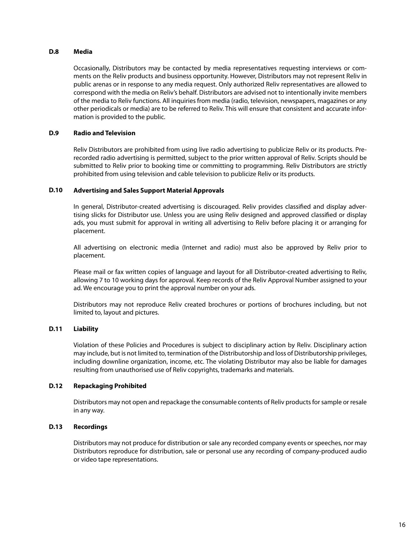### **D.8 Media**

Occasionally, Distributors may be contacted by media representatives requesting interviews or comments on the Reliv products and business opportunity. However, Distributors may not represent Reliv in public arenas or in response to any media request. Only authorized Reliv representatives are allowed to correspond with the media on Reliv's behalf. Distributors are advised not to intentionally invite members of the media to Reliv functions. All inquiries from media (radio, television, newspapers, magazines or any other periodicals or media) are to be referred to Reliv. This will ensure that consistent and accurate information is provided to the public.

### **D.9 Radio and Television**

Reliv Distributors are prohibited from using live radio advertising to publicize Reliv or its products. Prerecorded radio advertising is permitted, subject to the prior written approval of Reliv. Scripts should be submitted to Reliv prior to booking time or committing to programming. Reliv Distributors are strictly prohibited from using television and cable television to publicize Reliv or its products.

### **D.10 Advertising and Sales Support Material Approvals**

In general, Distributor-created advertising is discouraged. Reliv provides classified and display advertising slicks for Distributor use. Unless you are using Reliv designed and approved classified or display ads, you must submit for approval in writing all advertising to Reliv before placing it or arranging for placement.

All advertising on electronic media (Internet and radio) must also be approved by Reliv prior to placement.

Please mail or fax written copies of language and layout for all Distributor-created advertising to Reliv, allowing 7 to 10 working days for approval. Keep records of the Reliv Approval Number assigned to your ad. We encourage you to print the approval number on your ads.

Distributors may not reproduce Reliv created brochures or portions of brochures including, but not limited to, layout and pictures.

### **D.11 Liability**

Violation of these Policies and Procedures is subject to disciplinary action by Reliv. Disciplinary action may include, but is not limited to, termination of the Distributorship and loss of Distributorship privileges, including downline organization, income, etc. The violating Distributor may also be liable for damages resulting from unauthorised use of Reliv copyrights, trademarks and materials.

### **D.12 Repackaging Prohibited**

Distributors may not open and repackage the consumable contents of Reliv products for sample or resale in any way.

### **D.13 Recordings**

Distributors may not produce for distribution or sale any recorded company events or speeches, nor may Distributors reproduce for distribution, sale or personal use any recording of company-produced audio or video tape representations.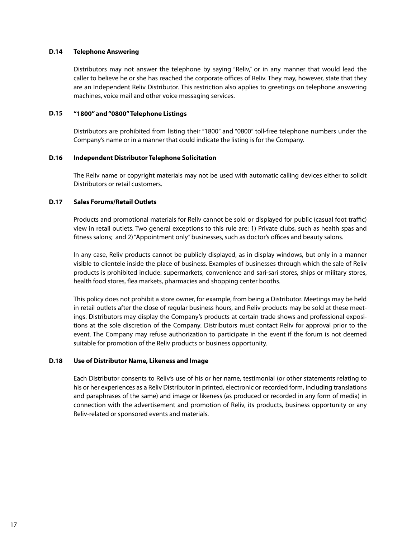### **D.14 Telephone Answering**

Distributors may not answer the telephone by saying "Reliv," or in any manner that would lead the caller to believe he or she has reached the corporate offices of Reliv. They may, however, state that they are an Independent Reliv Distributor. This restriction also applies to greetings on telephone answering machines, voice mail and other voice messaging services.

### **D.15 "1800" and "0800" Telephone Listings**

Distributors are prohibited from listing their "1800" and "0800" toll-free telephone numbers under the Company's name or in a manner that could indicate the listing is for the Company.

### **D.16 Independent Distributor Telephone Solicitation**

The Reliv name or copyright materials may not be used with automatic calling devices either to solicit Distributors or retail customers.

### **D.17 Sales Forums/Retail Outlets**

Products and promotional materials for Reliv cannot be sold or displayed for public (casual foot traffic) view in retail outlets. Two general exceptions to this rule are: 1) Private clubs, such as health spas and fitness salons; and 2) "Appointment only" businesses, such as doctor's offices and beauty salons.

In any case, Reliv products cannot be publicly displayed, as in display windows, but only in a manner visible to clientele inside the place of business. Examples of businesses through which the sale of Reliv products is prohibited include: supermarkets, convenience and sari-sari stores, ships or military stores, health food stores, flea markets, pharmacies and shopping center booths.

This policy does not prohibit a store owner, for example, from being a Distributor. Meetings may be held in retail outlets after the close of regular business hours, and Reliv products may be sold at these meetings. Distributors may display the Company's products at certain trade shows and professional expositions at the sole discretion of the Company. Distributors must contact Reliv for approval prior to the event. The Company may refuse authorization to participate in the event if the forum is not deemed suitable for promotion of the Reliv products or business opportunity.

### **D.18 Use of Distributor Name, Likeness and Image**

Each Distributor consents to Reliv's use of his or her name, testimonial (or other statements relating to his or her experiences as a Reliv Distributor in printed, electronic or recorded form, including translations and paraphrases of the same) and image or likeness (as produced or recorded in any form of media) in connection with the advertisement and promotion of Reliv, its products, business opportunity or any Reliv-related or sponsored events and materials.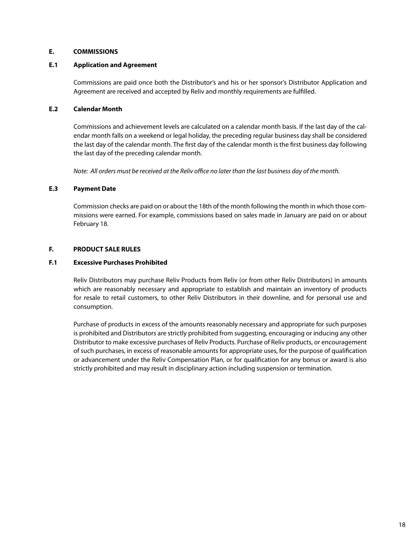## **E. COMMISSIONS**

### **E.1 Application and Agreement**

Commissions are paid once both the Distributor's and his or her sponsor's Distributor Application and Agreement are received and accepted by Reliv and monthly requirements are fulfilled.

### **E.2 Calendar Month**

Commissions and achievement levels are calculated on a calendar month basis. If the last day of the calendar month falls on a weekend or legal holiday, the preceding regular business day shall be considered the last day of the calendar month. The first day of the calendar month is the first business day following the last day of the preceding calendar month.

*Note: All orders must be received at the Reliv office no later than the last business day of the month.*

### **E.3 Payment Date**

Commission checks are paid on or about the 18th of the month following the month in which those commissions were earned. For example, commissions based on sales made in January are paid on or about February 18.

### **F. PRODUCT SALE RULES**

### **F.1 Excessive Purchases Prohibited**

Reliv Distributors may purchase Reliv Products from Reliv (or from other Reliv Distributors) in amounts which are reasonably necessary and appropriate to establish and maintain an inventory of products for resale to retail customers, to other Reliv Distributors in their downline, and for personal use and consumption.

Purchase of products in excess of the amounts reasonably necessary and appropriate for such purposes is prohibited and Distributors are strictly prohibited from suggesting, encouraging or inducing any other Distributor to make excessive purchases of Reliv Products. Purchase of Reliv products, or encouragement of such purchases, in excess of reasonable amounts for appropriate uses, for the purpose of qualification or advancement under the Reliv Compensation Plan, or for qualification for any bonus or award is also strictly prohibited and may result in disciplinary action including suspension or termination.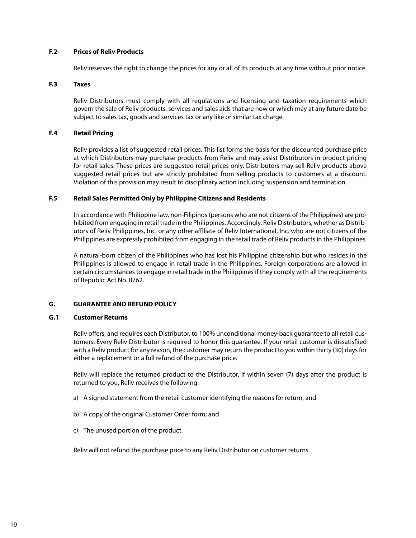### **F.2 Prices of Reliv Products**

Reliv reserves the right to change the prices for any or all of its products at any time without prior notice.

#### **F.3 Taxes**

Reliv Distributors must comply with all regulations and licensing and taxation requirements which govern the sale of Reliv products, services and sales aids that are now or which may at any future date be subject to sales tax, goods and services tax or any like or similar tax charge.

### **F.4 Retail Pricing**

Reliv provides a list of suggested retail prices. This list forms the basis for the discounted purchase price at which Distributors may purchase products from Reliv and may assist Distributors in product pricing for retail sales. These prices are suggested retail prices only. Distributors may sell Reliv products above suggested retail prices but are strictly prohibited from selling products to customers at a discount. Violation of this provision may result to disciplinary action including suspension and termination.

### **F.5 Retail Sales Permitted Only by Philippine Citizens and Residents**

In accordance with Philippine law, non-Filipinos (persons who are not citizens of the Philippines) are prohibited from engaging in retail trade in the Philippines. Accordingly, Reliv Distributors, whether as Distributors of Reliv Philippines, Inc. or any other affiliate of Reliv International, Inc. who are not citizens of the Philippines are expressly prohibited from engaging in the retail trade of Reliv products in the Philippines.

A natural-born citizen of the Philippines who has lost his Philippine citizenship but who resides in the Philippines is allowed to engage in retail trade in the Philippines. Foreign corporations are allowed in certain circumstances to engage in retail trade in the Philippines if they comply with all the requirements of Republic Act No. 8762.

### **G. GUARANTEE AND REFUND POLICY**

### **G.1 Customer Returns**

Reliv offers, and requires each Distributor, to 100% unconditional money-back guarantee to all retail customers. Every Reliv Distributor is required to honor this guarantee. If your retail customer is dissatisfiied with a Reliv product for any reason, the customer may return the product to you within thirty (30) days for either a replacement or a full refund of the purchase price.

Reliv will replace the returned product to the Distributor, if within seven (7) days after the product is returned to you, Reliv receives the following:

- a) A signed statement from the retail customer identifying the reasons for return, and
- b) A copy of the original Customer Order form; and
- c) The unused portion of the product.

Reliv will not refund the purchase price to any Reliv Distributor on customer returns.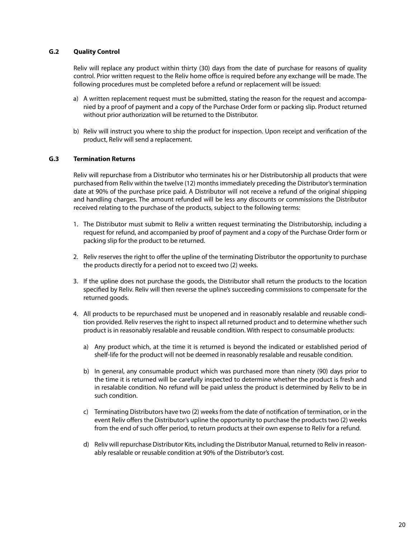### **G.2 Quality Control**

Reliv will replace any product within thirty (30) days from the date of purchase for reasons of quality control. Prior written request to the Reliv home office is required before any exchange will be made. The following procedures must be completed before a refund or replacement will be issued:

- a) A written replacement request must be submitted, stating the reason for the request and accompanied by a proof of payment and a copy of the Purchase Order form or packing slip. Product returned without prior authorization will be returned to the Distributor.
- b) Reliv will instruct you where to ship the product for inspection. Upon receipt and verification of the product, Reliv will send a replacement.

### **G.3 Termination Returns**

Reliv will repurchase from a Distributor who terminates his or her Distributorship all products that were purchased from Reliv within the twelve (12) months immediately preceding the Distributor's termination date at 90% of the purchase price paid. A Distributor will not receive a refund of the original shipping and handling charges. The amount refunded will be less any discounts or commissions the Distributor received relating to the purchase of the products, subject to the following terms:

- 1. The Distributor must submit to Reliv a written request terminating the Distributorship, including a request for refund, and accompanied by proof of payment and a copy of the Purchase Order form or packing slip for the product to be returned.
- 2. Reliv reserves the right to offer the upline of the terminating Distributor the opportunity to purchase the products directly for a period not to exceed two (2) weeks.
- 3. If the upline does not purchase the goods, the Distributor shall return the products to the location specified by Reliv. Reliv will then reverse the upline's succeeding commissions to compensate for the returned goods.
- All products to be repurchased must be unopened and in reasonably resalable and reusable condi-4. tion provided. Reliv reserves the right to inspect all returned product and to determine whether such product is in reasonably resalable and reusable condition. With respect to consumable products:
	- a) Any product which, at the time it is returned is beyond the indicated or established period of shelf-life for the product will not be deemed in reasonably resalable and reusable condition.
	- b) In general, any consumable product which was purchased more than ninety (90) days prior to the time it is returned will be carefully inspected to determine whether the product is fresh and in resalable condition. No refund will be paid unless the product is determined by Reliv to be in such condition.
	- c) Terminating Distributors have two (2) weeks from the date of notification of termination, or in the event Reliv offers the Distributor's upline the opportunity to purchase the products two (2) weeks from the end of such offer period, to return products at their own expense to Reliv for a refund.
	- d) Reliv will repurchase Distributor Kits, including the Distributor Manual, returned to Reliv in reasonably resalable or reusable condition at 90% of the Distributor's cost.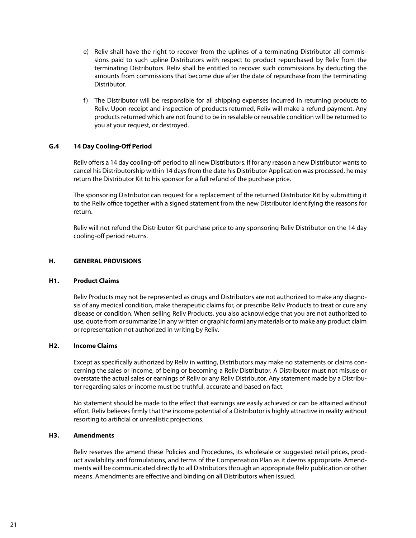- e) Reliv shall have the right to recover from the uplines of a terminating Distributor all commissions paid to such upline Distributors with respect to product repurchased by Reliv from the terminating Distributors. Reliv shall be entitled to recover such commissions by deducting the amounts from commissions that become due after the date of repurchase from the terminating Distributor.
- f) The Distributor will be responsible for all shipping expenses incurred in returning products to Reliv. Upon receipt and inspection of products returned, Reliv will make a refund payment. Any products returned which are not found to be in resalable or reusable condition will be returned to you at your request, or destroyed.

### **G.4 14 Day Cooling-Off Period**

Reliv offers a 14 day cooling-off period to all new Distributors. If for any reason a new Distributor wants to cancel his Distributorship within 14 days from the date his Distributor Application was processed, he may return the Distributor Kit to his sponsor for a full refund of the purchase price.

The sponsoring Distributor can request for a replacement of the returned Distributor Kit by submitting it to the Reliv office together with a signed statement from the new Distributor identifying the reasons for return.

Reliv will not refund the Distributor Kit purchase price to any sponsoring Reliv Distributor on the 14 day cooling-off period returns.

### **H. GENERAL PROVISIONS**

### **H1. Product Claims**

Reliv Products may not be represented as drugs and Distributors are not authorized to make any diagnosis of any medical condition, make therapeutic claims for, or prescribe Reliv Products to treat or cure any disease or condition. When selling Reliv Products, you also acknowledge that you are not authorized to use, quote from or summarize (in any written or graphic form) any materials or to make any product claim or representation not authorized in writing by Reliv.

### **H2. Income Claims**

Except as specifically authorized by Reliv in writing, Distributors may make no statements or claims concerning the sales or income, of being or becoming a Reliv Distributor. A Distributor must not misuse or overstate the actual sales or earnings of Reliv or any Reliv Distributor. Any statement made by a Distributor regarding sales or income must be truthful, accurate and based on fact.

No statement should be made to the effect that earnings are easily achieved or can be attained without effort. Reliv believes firmly that the income potential of a Distributor is highly attractive in reality without resorting to artificial or unrealistic projections.

### **H3. Amendments**

Reliv reserves the amend these Policies and Procedures, its wholesale or suggested retail prices, product availability and formulations, and terms of the Compensation Plan as it deems appropriate. Amendments will be communicated directly to all Distributors through an appropriate Reliv publication or other means. Amendments are effective and binding on all Distributors when issued.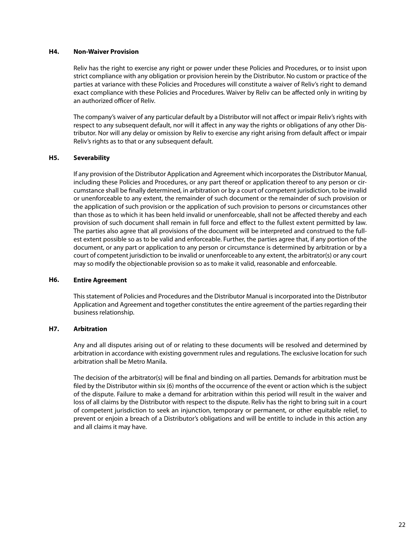### **H4. Non-Waiver Provision**

Reliv has the right to exercise any right or power under these Policies and Procedures, or to insist upon strict compliance with any obligation or provision herein by the Distributor. No custom or practice of the parties at variance with these Policies and Procedures will constitute a waiver of Reliv's right to demand exact compliance with these Policies and Procedures. Waiver by Reliv can be affected only in writing by an authorized officer of Reliv.

The company's waiver of any particular default by a Distributor will not affect or impair Reliv's rights with respect to any subsequent default, nor will it affect in any way the rights or obligations of any other Distributor. Nor will any delay or omission by Reliv to exercise any right arising from default affect or impair Reliv's rights as to that or any subsequent default.

### **H5. Severability**

If any provision of the Distributor Application and Agreement which incorporates the Distributor Manual, including these Policies and Procedures, or any part thereof or application thereof to any person or circumstance shall be finally determined, in arbitration or by a court of competent jurisdiction, to be invalid or unenforceable to any extent, the remainder of such document or the remainder of such provision or the application of such provision or the application of such provision to persons or circumstances other than those as to which it has been held invalid or unenforceable, shall not be affected thereby and each provision of such document shall remain in full force and effect to the fullest extent permitted by law. The parties also agree that all provisions of the document will be interpreted and construed to the fullest extent possible so as to be valid and enforceable. Further, the parties agree that, if any portion of the document, or any part or application to any person or circumstance is determined by arbitration or by a court of competent jurisdiction to be invalid or unenforceable to any extent, the arbitrator(s) or any court may so modify the objectionable provision so as to make it valid, reasonable and enforceable.

### **H6. Entire Agreement**

This statement of Policies and Procedures and the Distributor Manual is incorporated into the Distributor Application and Agreement and together constitutes the entire agreement of the parties regarding their business relationship.

### **H7. Arbitration**

Any and all disputes arising out of or relating to these documents will be resolved and determined by arbitration in accordance with existing government rules and regulations. The exclusive location for such arbitration shall be Metro Manila.

The decision of the arbitrator(s) will be final and binding on all parties. Demands for arbitration must be filed by the Distributor within six (6) months of the occurrence of the event or action which is the subject of the dispute. Failure to make a demand for arbitration within this period will result in the waiver and loss of all claims by the Distributor with respect to the dispute. Reliv has the right to bring suit in a court of competent jurisdiction to seek an injunction, temporary or permanent, or other equitable relief, to prevent or enjoin a breach of a Distributor's obligations and will be entitle to include in this action any and all claims it may have.